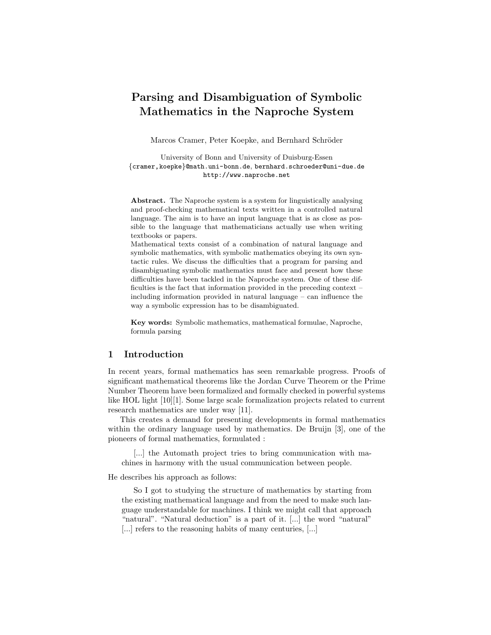# Parsing and Disambiguation of Symbolic Mathematics in the Naproche System

Marcos Cramer, Peter Koepke, and Bernhard Schröder

University of Bonn and University of Duisburg-Essen {cramer,koepke}@math.uni-bonn.de, bernhard.schroeder@uni-due.de http://www.naproche.net

Abstract. The Naproche system is a system for linguistically analysing and proof-checking mathematical texts written in a controlled natural language. The aim is to have an input language that is as close as possible to the language that mathematicians actually use when writing textbooks or papers.

Mathematical texts consist of a combination of natural language and symbolic mathematics, with symbolic mathematics obeying its own syntactic rules. We discuss the difficulties that a program for parsing and disambiguating symbolic mathematics must face and present how these difficulties have been tackled in the Naproche system. One of these difficulties is the fact that information provided in the preceding context – including information provided in natural language – can influence the way a symbolic expression has to be disambiguated.

Key words: Symbolic mathematics, mathematical formulae, Naproche, formula parsing

# 1 Introduction

In recent years, formal mathematics has seen remarkable progress. Proofs of significant mathematical theorems like the Jordan Curve Theorem or the Prime Number Theorem have been formalized and formally checked in powerful systems like HOL light [10][1]. Some large scale formalization projects related to current research mathematics are under way [11].

This creates a demand for presenting developments in formal mathematics within the ordinary language used by mathematics. De Bruijn [3], one of the pioneers of formal mathematics, formulated :

[...] the Automath project tries to bring communication with machines in harmony with the usual communication between people.

He describes his approach as follows:

So I got to studying the structure of mathematics by starting from the existing mathematical language and from the need to make such language understandable for machines. I think we might call that approach "natural". "Natural deduction" is a part of it. [...] the word "natural" [...] refers to the reasoning habits of many centuries, [...]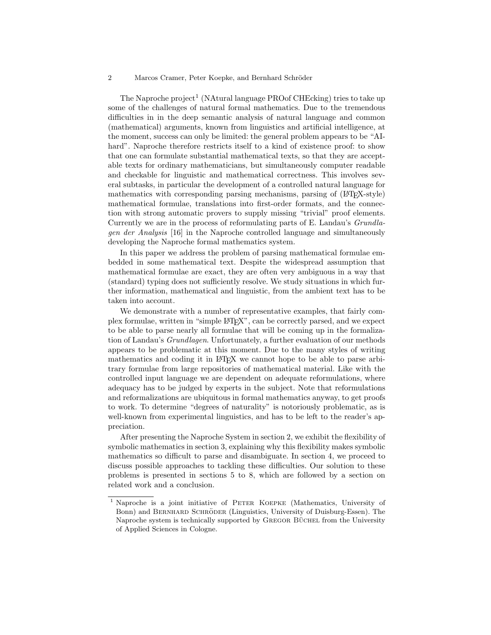The Naproche project<sup>1</sup> (NAtural language PROof CHEcking) tries to take up some of the challenges of natural formal mathematics. Due to the tremendous difficulties in in the deep semantic analysis of natural language and common (mathematical) arguments, known from linguistics and artificial intelligence, at the moment, success can only be limited: the general problem appears to be "AIhard". Naproche therefore restricts itself to a kind of existence proof: to show that one can formulate substantial mathematical texts, so that they are acceptable texts for ordinary mathematicians, but simultaneously computer readable and checkable for linguistic and mathematical correctness. This involves several subtasks, in particular the development of a controlled natural language for mathematics with corresponding parsing mechanisms, parsing of (LAT<sub>EX</sub>-style) mathematical formulae, translations into first-order formats, and the connection with strong automatic provers to supply missing "trivial" proof elements. Currently we are in the process of reformulating parts of E. Landau's Grundlagen der Analysis [16] in the Naproche controlled language and simultaneously developing the Naproche formal mathematics system.

In this paper we address the problem of parsing mathematical formulae embedded in some mathematical text. Despite the widespread assumption that mathematical formulae are exact, they are often very ambiguous in a way that (standard) typing does not sufficiently resolve. We study situations in which further information, mathematical and linguistic, from the ambient text has to be taken into account.

We demonstrate with a number of representative examples, that fairly complex formulae, written in "simple LATEX", can be correctly parsed, and we expect to be able to parse nearly all formulae that will be coming up in the formalization of Landau's Grundlagen. Unfortunately, a further evaluation of our methods appears to be problematic at this moment. Due to the many styles of writing mathematics and coding it in LAT<sub>EX</sub> we cannot hope to be able to parse arbitrary formulae from large repositories of mathematical material. Like with the controlled input language we are dependent on adequate reformulations, where adequacy has to be judged by experts in the subject. Note that reformulations and reformalizations are ubiquitous in formal mathematics anyway, to get proofs to work. To determine "degrees of naturality" is notoriously problematic, as is well-known from experimental linguistics, and has to be left to the reader's appreciation.

After presenting the Naproche System in section 2, we exhibit the flexibility of symbolic mathematics in section 3, explaining why this flexibility makes symbolic mathematics so difficult to parse and disambiguate. In section 4, we proceed to discuss possible approaches to tackling these difficulties. Our solution to these problems is presented in sections 5 to 8, which are followed by a section on related work and a conclusion.

<sup>&</sup>lt;sup>1</sup> Naproche is a joint initiative of PETER KOEPKE (Mathematics, University of Bonn) and BERNHARD SCHRÖDER (Linguistics, University of Duisburg-Essen). The Naproche system is technically supported by GREGOR BÜCHEL from the University of Applied Sciences in Cologne.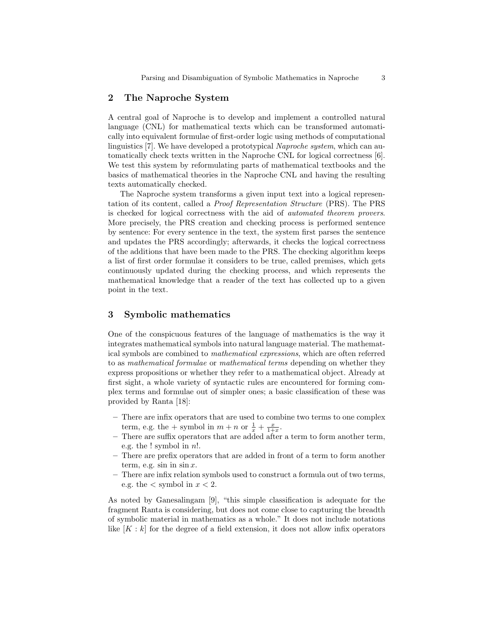# 2 The Naproche System

A central goal of Naproche is to develop and implement a controlled natural language (CNL) for mathematical texts which can be transformed automatically into equivalent formulae of first-order logic using methods of computational linguistics [7]. We have developed a prototypical Naproche system, which can automatically check texts written in the Naproche CNL for logical correctness [6]. We test this system by reformulating parts of mathematical textbooks and the basics of mathematical theories in the Naproche CNL and having the resulting texts automatically checked.

The Naproche system transforms a given input text into a logical representation of its content, called a Proof Representation Structure (PRS). The PRS is checked for logical correctness with the aid of automated theorem provers. More precisely, the PRS creation and checking process is performed sentence by sentence: For every sentence in the text, the system first parses the sentence and updates the PRS accordingly; afterwards, it checks the logical correctness of the additions that have been made to the PRS. The checking algorithm keeps a list of first order formulae it considers to be true, called premises, which gets continuously updated during the checking process, and which represents the mathematical knowledge that a reader of the text has collected up to a given point in the text.

# 3 Symbolic mathematics

One of the conspicuous features of the language of mathematics is the way it integrates mathematical symbols into natural language material. The mathematical symbols are combined to mathematical expressions, which are often referred to as mathematical formulae or mathematical terms depending on whether they express propositions or whether they refer to a mathematical object. Already at first sight, a whole variety of syntactic rules are encountered for forming complex terms and formulae out of simpler ones; a basic classification of these was provided by Ranta [18]:

- There are infix operators that are used to combine two terms to one complex term, e.g. the + symbol in  $m + n$  or  $\frac{1}{x} + \frac{x}{1+x}$ .
- There are suffix operators that are added after a term to form another term, e.g. the ! symbol in  $n!$ .
- There are prefix operators that are added in front of a term to form another term, e.g.  $\sin$  in  $\sin x$ .
- There are infix relation symbols used to construct a formula out of two terms, e.g. the  $\lt$  symbol in  $x \lt 2$ .

As noted by Ganesalingam [9], "this simple classification is adequate for the fragment Ranta is considering, but does not come close to capturing the breadth of symbolic material in mathematics as a whole." It does not include notations like  $[K : k]$  for the degree of a field extension, it does not allow infix operators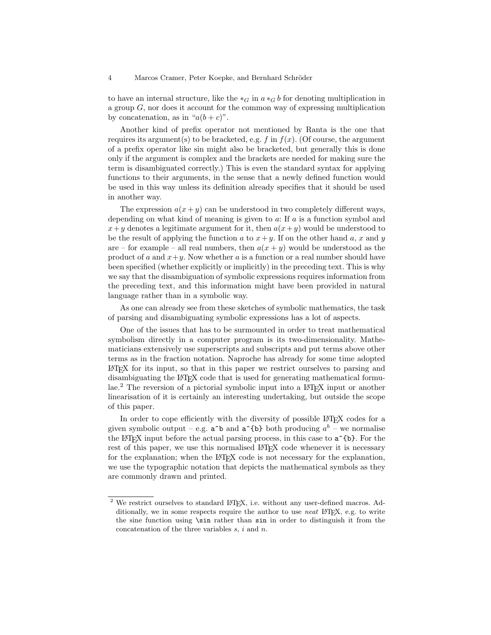to have an internal structure, like the  $*_G$  in  $a *_G b$  for denoting multiplication in a group  $G$ , nor does it account for the common way of expressing multiplication by concatenation, as in " $a(b+c)$ ".

Another kind of prefix operator not mentioned by Ranta is the one that requires its argument(s) to be bracketed, e.g. f in  $f(x)$ . (Of course, the argument of a prefix operator like sin might also be bracketed, but generally this is done only if the argument is complex and the brackets are needed for making sure the term is disambiguated correctly.) This is even the standard syntax for applying functions to their arguments, in the sense that a newly defined function would be used in this way unless its definition already specifies that it should be used in another way.

The expression  $a(x + y)$  can be understood in two completely different ways, depending on what kind of meaning is given to  $a$ : If  $a$  is a function symbol and  $x+y$  denotes a legitimate argument for it, then  $a(x+y)$  would be understood to be the result of applying the function a to  $x+y$ . If on the other hand a, x and y are – for example – all real numbers, then  $a(x + y)$  would be understood as the product of a and  $x+y$ . Now whether a is a function or a real number should have been specified (whether explicitly or implicitly) in the preceding text. This is why we say that the disambiguation of symbolic expressions requires information from the preceding text, and this information might have been provided in natural language rather than in a symbolic way.

As one can already see from these sketches of symbolic mathematics, the task of parsing and disambiguating symbolic expressions has a lot of aspects.

One of the issues that has to be surmounted in order to treat mathematical symbolism directly in a computer program is its two-dimensionality. Mathematicians extensively use superscripts and subscripts and put terms above other terms as in the fraction notation. Naproche has already for some time adopted LATEX for its input, so that in this paper we restrict ourselves to parsing and disambiguating the LAT<sub>EX</sub> code that is used for generating mathematical formulae.<sup>2</sup> The reversion of a pictorial symbolic input into a L<sup>AT</sup>EX input or another linearisation of it is certainly an interesting undertaking, but outside the scope of this paper.

In order to cope efficiently with the diversity of possible LAT<sub>EX</sub> codes for a given symbolic output – e.g.  $a^b$  and  $a^{\frown}$  (b) both producing  $a^b$  – we normalise the LAT<sub>EX</sub> input before the actual parsing process, in this case to  $a^{\dagger}b$ . For the rest of this paper, we use this normalised LATEX code whenever it is necessary for the explanation; when the L<sup>AT</sup>EX code is not necessary for the explanation, we use the typographic notation that depicts the mathematical symbols as they are commonly drawn and printed.

 $^{\rm 2}$  We restrict ourselves to standard IATEX, i.e. without any user-defined macros. Additionally, we in some respects require the author to use *neat* LAT<sub>E</sub>X, e.g. to write the sine function using \sin rather than sin in order to distinguish it from the concatenation of the three variables  $s, i$  and  $n$ .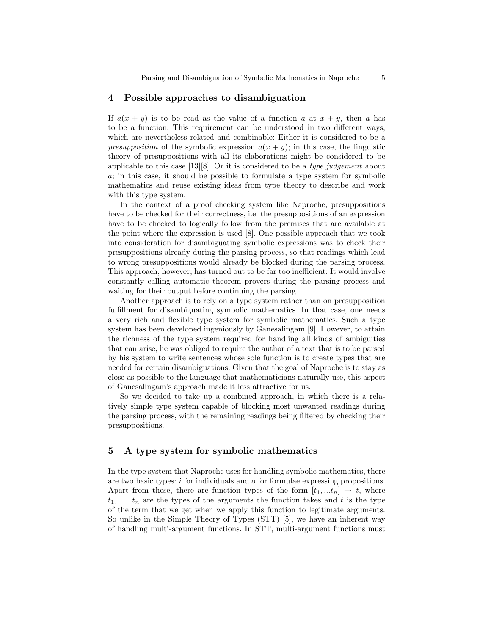## 4 Possible approaches to disambiguation

If  $a(x + y)$  is to be read as the value of a function a at  $x + y$ , then a has to be a function. This requirement can be understood in two different ways, which are nevertheless related and combinable: Either it is considered to be a presupposition of the symbolic expression  $a(x + y)$ ; in this case, the linguistic theory of presuppositions with all its elaborations might be considered to be applicable to this case  $[13][8]$ . Or it is considered to be a *type judgement* about a; in this case, it should be possible to formulate a type system for symbolic mathematics and reuse existing ideas from type theory to describe and work with this type system.

In the context of a proof checking system like Naproche, presuppositions have to be checked for their correctness, i.e. the presuppositions of an expression have to be checked to logically follow from the premises that are available at the point where the expression is used [8]. One possible approach that we took into consideration for disambiguating symbolic expressions was to check their presuppositions already during the parsing process, so that readings which lead to wrong presuppositions would already be blocked during the parsing process. This approach, however, has turned out to be far too inefficient: It would involve constantly calling automatic theorem provers during the parsing process and waiting for their output before continuing the parsing.

Another approach is to rely on a type system rather than on presupposition fulfillment for disambiguating symbolic mathematics. In that case, one needs a very rich and flexible type system for symbolic mathematics. Such a type system has been developed ingeniously by Ganesalingam [9]. However, to attain the richness of the type system required for handling all kinds of ambiguities that can arise, he was obliged to require the author of a text that is to be parsed by his system to write sentences whose sole function is to create types that are needed for certain disambiguations. Given that the goal of Naproche is to stay as close as possible to the language that mathematicians naturally use, this aspect of Ganesalingam's approach made it less attractive for us.

So we decided to take up a combined approach, in which there is a relatively simple type system capable of blocking most unwanted readings during the parsing process, with the remaining readings being filtered by checking their presuppositions.

## 5 A type system for symbolic mathematics

In the type system that Naproche uses for handling symbolic mathematics, there are two basic types:  $i$  for individuals and  $o$  for formulae expressing propositions. Apart from these, there are function types of the form  $[t_1, ... t_n] \rightarrow t$ , where  $t_1, \ldots, t_n$  are the types of the arguments the function takes and t is the type of the term that we get when we apply this function to legitimate arguments. So unlike in the Simple Theory of Types (STT) [5], we have an inherent way of handling multi-argument functions. In STT, multi-argument functions must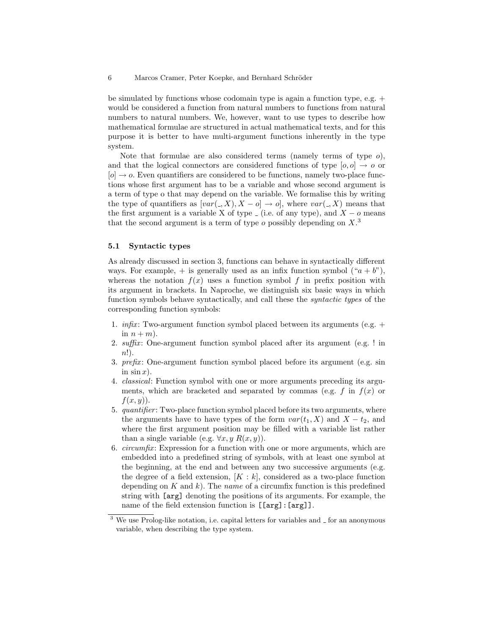be simulated by functions whose codomain type is again a function type, e.g. + would be considered a function from natural numbers to functions from natural numbers to natural numbers. We, however, want to use types to describe how mathematical formulae are structured in actual mathematical texts, and for this purpose it is better to have multi-argument functions inherently in the type system.

Note that formulae are also considered terms (namely terms of type  $\rho$ ), and that the logical connectors are considered functions of type  $[o, o] \rightarrow o$  or  $[\rho] \rightarrow \rho$ . Even quantifiers are considered to be functions, namely two-place functions whose first argument has to be a variable and whose second argument is a term of type o that may depend on the variable. We formalise this by writing the type of quantifiers as  $[var( , X), X - o] \rightarrow o$ , where  $var( , X)$  means that the first argument is a variable X of type  $(i.e.$  of any type), and  $X - o$  means that the second argument is a term of type  $o$  possibly depending on  $X$ <sup>3</sup>

### 5.1 Syntactic types

As already discussed in section 3, functions can behave in syntactically different ways. For example,  $+$  is generally used as an infix function symbol  $({}^{\omega}a + b^{\nu})$ , whereas the notation  $f(x)$  uses a function symbol f in prefix position with its argument in brackets. In Naproche, we distinguish six basic ways in which function symbols behave syntactically, and call these the syntactic types of the corresponding function symbols:

- 1. *infix*: Two-argument function symbol placed between its arguments (e.g.  $+$ in  $n + m$ ).
- 2. suffix: One-argument function symbol placed after its argument (e.g. ! in  $n!)$ .
- 3. prefix: One-argument function symbol placed before its argument (e.g. sin in  $\sin x$ ).
- 4. classical: Function symbol with one or more arguments preceding its arguments, which are bracketed and separated by commas (e.g. f in  $f(x)$  or  $f(x, y)$ .
- 5. *quantifier*: Two-place function symbol placed before its two arguments, where the arguments have to have types of the form  $var(t_1, X)$  and  $X - t_2$ , and where the first argument position may be filled with a variable list rather than a single variable (e.g.  $\forall x, y \ R(x, y)$ ).
- 6.  $circumfix$ : Expression for a function with one or more arguments, which are embedded into a predefined string of symbols, with at least one symbol at the beginning, at the end and between any two successive arguments (e.g. the degree of a field extension,  $[K : k]$ , considered as a two-place function depending on K and k). The *name* of a circumfix function is this predefined string with [arg] denoting the positions of its arguments. For example, the name of the field extension function is  $[[arg]:[arg]]$ .

 $3$  We use Prolog-like notation, i.e. capital letters for variables and  $\overline{\ }$  for an anonymous variable, when describing the type system.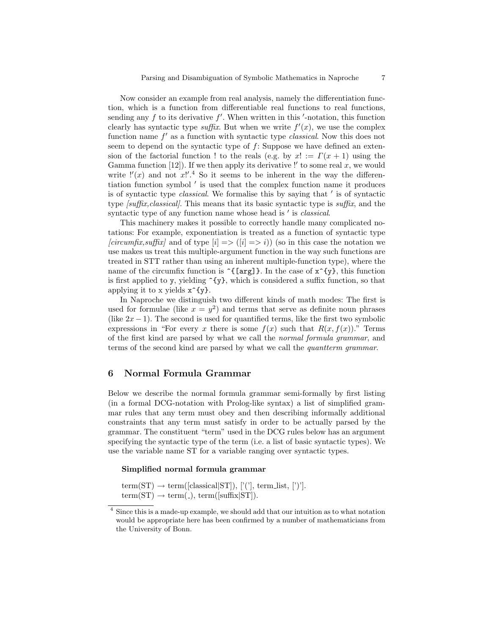Now consider an example from real analysis, namely the differentiation function, which is a function from differentiable real functions to real functions, sending any  $f$  to its derivative  $f'$ . When written in this '-notation, this function clearly has syntactic type *suffix*. But when we write  $f'(x)$ , we use the complex function name  $f'$  as a function with syntactic type *classical*. Now this does not seem to depend on the syntactic type of f: Suppose we have defined an extension of the factorial function ! to the reals (e.g. by  $x! := \Gamma(x+1)$  using the Gamma function  $[12]$ . If we then apply its derivative !' to some real x, we would write  $\frac{1}{x}(x)$  and not  $x!^{1.4}$ . So it seems to be inherent in the way the differentiation function symbol ' is used that the complex function name it produces is of syntactic type *classical*. We formalise this by saying that ' is of syntactic type  $\sqrt{\text{suffix}}$ , classical. This means that its basic syntactic type is suffix, and the syntactic type of any function name whose head is  $'$  is *classical*.

This machinery makes it possible to correctly handle many complicated notations: For example, exponentiation is treated as a function of syntactic type  $\text{circumfix}, \text{suffix}$  and of type  $[i] \implies ([i] \implies i))$  (so in this case the notation we use makes us treat this multiple-argument function in the way such functions are treated in STT rather than using an inherent multiple-function type), where the name of the circumfix function is  $\hat{\ }$  [[arg]}. In the case of  $x^{\hat{\ }}$  {y}, this function is first applied to y, yielding  $\hat{y}$ , which is considered a suffix function, so that applying it to x yields  $x^{\prime}(y)$ .

In Naproche we distinguish two different kinds of math modes: The first is used for formulae (like  $x = y^2$ ) and terms that serve as definite noun phrases (like  $2x - 1$ ). The second is used for quantified terms, like the first two symbolic expressions in "For every x there is some  $f(x)$  such that  $R(x, f(x))$ ." Terms of the first kind are parsed by what we call the normal formula grammar, and terms of the second kind are parsed by what we call the quantterm grammar.

## 6 Normal Formula Grammar

Below we describe the normal formula grammar semi-formally by first listing (in a formal DCG-notation with Prolog-like syntax) a list of simplified grammar rules that any term must obey and then describing informally additional constraints that any term must satisfy in order to be actually parsed by the grammar. The constituent "term" used in the DCG rules below has an argument specifying the syntactic type of the term (i.e. a list of basic syntactic types). We use the variable name ST for a variable ranging over syntactic types.

#### Simplified normal formula grammar

 $term(ST) \rightarrow term([classical|ST]), [7, term_list, [7)'].$  $term(ST) \rightarrow term($ , term( $sum(ST)$ ).

<sup>4</sup> Since this is a made-up example, we should add that our intuition as to what notation would be appropriate here has been confirmed by a number of mathematicians from the University of Bonn.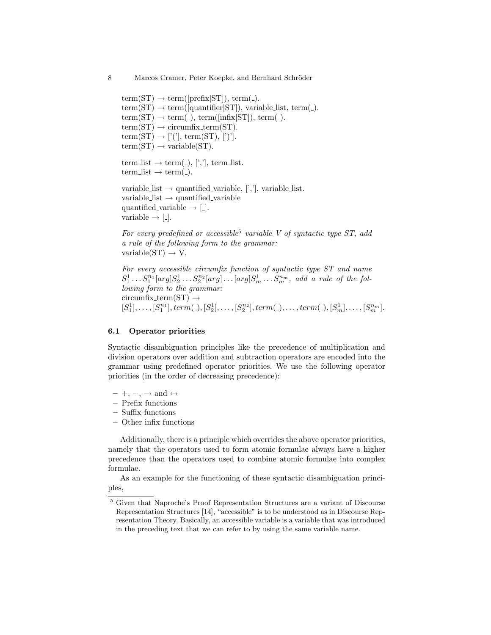```
term(ST) \rightarrow term([prefix|ST]), term().
term(ST) \rightarrow term([quantifier|ST]), variable_list, term(.).
term(ST) \rightarrow term(.), term([infix|ST]), term(.).
term(ST) \rightarrow circumfix-term(ST).term(ST) \rightarrow ['('], term(ST), [')'].
term(ST) \rightarrow variable(ST).term list \rightarrow term(.), [','], term list.
term\_list \rightarrow term(.
variable list \rightarrow quantified variable, [','], variable list.
variable list \rightarrow quantified variable
quantified variable \rightarrow [...].
variable \rightarrow [...].
```
For every predefined or accessible<sup>5</sup> variable V of syntactic type ST, add a rule of the following form to the grammar: variable(ST)  $\rightarrow$  V.

For every accessible circumfix function of syntactic type ST and name  $S_1^1 \ldots S_1^{n_1} [arg] S_2^1 \ldots S_2^{n_2} [arg] \ldots [arg] S_m^1 \ldots S_m^{n_m}$ , add a rule of the following form to the grammar: circumfix\_term(ST)  $\rightarrow$  $[S_1^1], \ldots, [S_1^{n_1}], term(.) [S_2^1], \ldots, [S_2^{n_2}], term(.) \ldots, term(.) [S_m^1], \ldots, [S_m^{n_m}].$ 

#### 6.1 Operator priorities

Syntactic disambiguation principles like the precedence of multiplication and division operators over addition and subtraction operators are encoded into the grammar using predefined operator priorities. We use the following operator priorities (in the order of decreasing precedence):

- $-$  +, -,  $\rightarrow$  and  $\leftrightarrow$
- Prefix functions
- Suffix functions
- Other infix functions

Additionally, there is a principle which overrides the above operator priorities, namely that the operators used to form atomic formulae always have a higher precedence than the operators used to combine atomic formulae into complex formulae.

As an example for the functioning of these syntactic disambiguation principles,

<sup>5</sup> Given that Naproche's Proof Representation Structures are a variant of Discourse Representation Structures [14], "accessible" is to be understood as in Discourse Representation Theory. Basically, an accessible variable is a variable that was introduced in the preceding text that we can refer to by using the same variable name.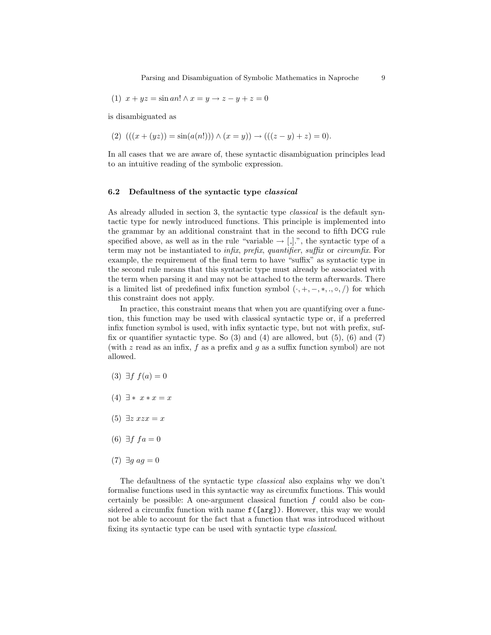$$
(1) \ x + yz = \sin an! \land x = y \rightarrow z - y + z = 0
$$

is disambiguated as

(2) 
$$
((x + (yz)) = \sin(a(n!))) \land (x = y) \rightarrow (((z - y) + z) = 0).
$$

In all cases that we are aware of, these syntactic disambiguation principles lead to an intuitive reading of the symbolic expression.

#### 6.2 Defaultness of the syntactic type classical

As already alluded in section 3, the syntactic type classical is the default syntactic type for newly introduced functions. This principle is implemented into the grammar by an additional constraint that in the second to fifth DCG rule specified above, as well as in the rule "variable  $\rightarrow$  [ $\cdot$ ].", the syntactic type of a term may not be instantiated to infix, prefix, quantifier, suffix or circumfix. For example, the requirement of the final term to have "suffix" as syntactic type in the second rule means that this syntactic type must already be associated with the term when parsing it and may not be attached to the term afterwards. There is a limited list of predefined infix function symbol  $(., +, -, *,., \circ, /)$  for which this constraint does not apply.

In practice, this constraint means that when you are quantifying over a function, this function may be used with classical syntactic type or, if a preferred infix function symbol is used, with infix syntactic type, but not with prefix, suffix or quantifier syntactic type. So  $(3)$  and  $(4)$  are allowed, but  $(5)$ ,  $(6)$  and  $(7)$ (with z read as an infix,  $f$  as a prefix and  $g$  as a suffix function symbol) are not allowed.

- (3)  $∃f f(a) = 0$
- (4) ∃ ∗  $x * x = x$
- (5)  $\exists z \ xzx = x$
- (6)  $\exists f \; fa = 0$
- $(7) \exists g \, ag = 0$

The defaultness of the syntactic type classical also explains why we don't formalise functions used in this syntactic way as circumfix functions. This would certainly be possible: A one-argument classical function  $f$  could also be considered a circumfix function with name f([arg]). However, this way we would not be able to account for the fact that a function that was introduced without fixing its syntactic type can be used with syntactic type classical.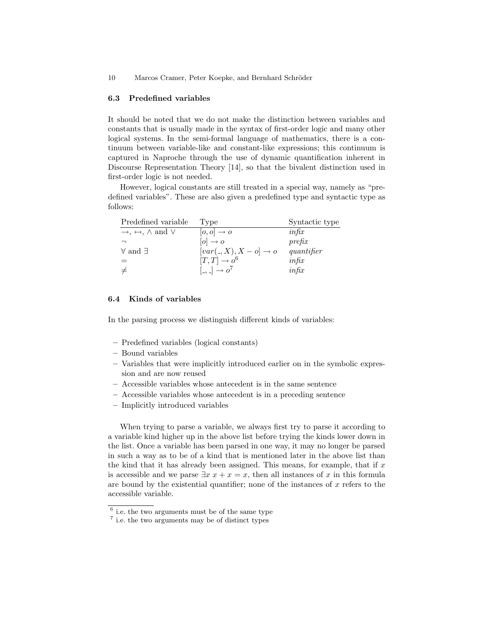#### 6.3 Predefined variables

It should be noted that we do not make the distinction between variables and constants that is usually made in the syntax of first-order logic and many other logical systems. In the semi-formal language of mathematics, there is a continuum between variable-like and constant-like expressions; this continuum is captured in Naproche through the use of dynamic quantification inherent in Discourse Representation Theory [14], so that the bivalent distinction used in first-order logic is not needed.

However, logical constants are still treated in a special way, namely as "predefined variables". These are also given a predefined type and syntactic type as follows:

| Predefined variable                               | Type                                          | Syntactic type |
|---------------------------------------------------|-----------------------------------------------|----------------|
| $\rightarrow, \leftrightarrow, \wedge$ and $\vee$ | $[o, o] \rightarrow o$                        | inf x          |
|                                                   | $[o] \rightarrow o$                           | prefix         |
| $\forall$ and $\exists$                           | $[var( _{\neg}, X), X - o] \rightarrow o$     | quantifier     |
|                                                   | $[T, T] \rightarrow o^6$                      | inf x          |
|                                                   | $\left[ \cdot, \cdot \right] \rightarrow o^7$ | inf x          |

#### 6.4 Kinds of variables

In the parsing process we distinguish different kinds of variables:

- Predefined variables (logical constants)
- Bound variables
- Variables that were implicitly introduced earlier on in the symbolic expression and are now reused
- Accessible variables whose antecedent is in the same sentence
- Accessible variables whose antecedent is in a preceding sentence
- Implicitly introduced variables

When trying to parse a variable, we always first try to parse it according to a variable kind higher up in the above list before trying the kinds lower down in the list. Once a variable has been parsed in one way, it may no longer be parsed in such a way as to be of a kind that is mentioned later in the above list than the kind that it has already been assigned. This means, for example, that if  $x$ is accessible and we parse  $\exists x \ x + x = x$ , then all instances of x in this formula are bound by the existential quantifier; none of the instances of  $x$  refers to the accessible variable.

<sup>&</sup>lt;sup>6</sup> i.e. the two arguments must be of the same type

<sup>&</sup>lt;sup>7</sup> i.e. the two arguments may be of distinct types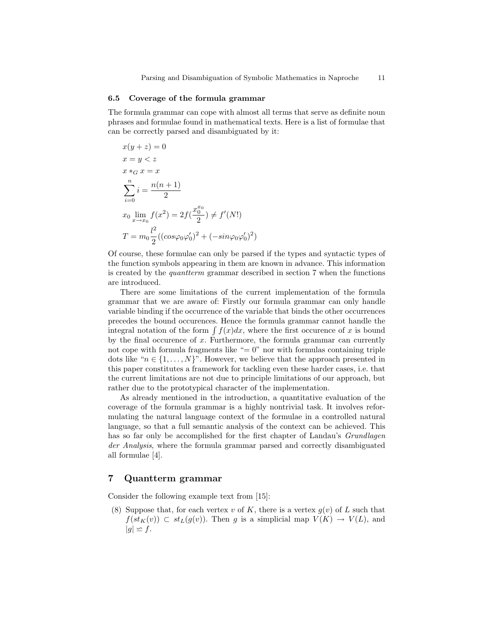#### 6.5 Coverage of the formula grammar

The formula grammar can cope with almost all terms that serve as definite noun phrases and formulae found in mathematical texts. Here is a list of formulae that can be correctly parsed and disambiguated by it:

$$
x(y + z) = 0
$$
  
\n
$$
x = y < z
$$
  
\n
$$
x *_{G} x = x
$$
  
\n
$$
\sum_{i=0}^{n} i = \frac{n(n + 1)}{2}
$$
  
\n
$$
x_{0} \lim_{x \to x_{0}} f(x^{2}) = 2f(\frac{x_{0}^{x_{0}}}{2}) \neq f'(N!)
$$
  
\n
$$
T = m_{0} \frac{l^{2}}{2} ((cos \varphi_{0} \varphi_{0}')^{2} + (-sin \varphi_{0} \varphi_{0}')^{2})
$$

Of course, these formulae can only be parsed if the types and syntactic types of the function symbols appearing in them are known in advance. This information is created by the quantterm grammar described in section 7 when the functions are introduced.

There are some limitations of the current implementation of the formula grammar that we are aware of: Firstly our formula grammar can only handle variable binding if the occurrence of the variable that binds the other occurrences precedes the bound occurences. Hence the formula grammar cannot handle the integral notation of the form  $\int f(x)dx$ , where the first occurence of x is bound by the final occurence of  $x$ . Furthermore, the formula grammar can currently not cope with formula fragments like " $= 0$ " nor with formulas containing triple dots like " $n \in \{1, \ldots, N\}$ ". However, we believe that the approach presented in this paper constitutes a framework for tackling even these harder cases, i.e. that the current limitations are not due to principle limitations of our approach, but rather due to the prototypical character of the implementation.

As already mentioned in the introduction, a quantitative evaluation of the coverage of the formula grammar is a highly nontrivial task. It involves reformulating the natural language context of the formulae in a controlled natural language, so that a full semantic analysis of the context can be achieved. This has so far only be accomplished for the first chapter of Landau's *Grundlagen* der Analysis, where the formula grammar parsed and correctly disambiguated all formulae [4].

## 7 Quantterm grammar

Consider the following example text from [15]:

(8) Suppose that, for each vertex v of K, there is a vertex  $q(v)$  of L such that  $f(st_{K}(v)) \subset st_{L}(g(v))$ . Then g is a simplicial map  $V(K) \to V(L)$ , and  $|g| \simeq f$ .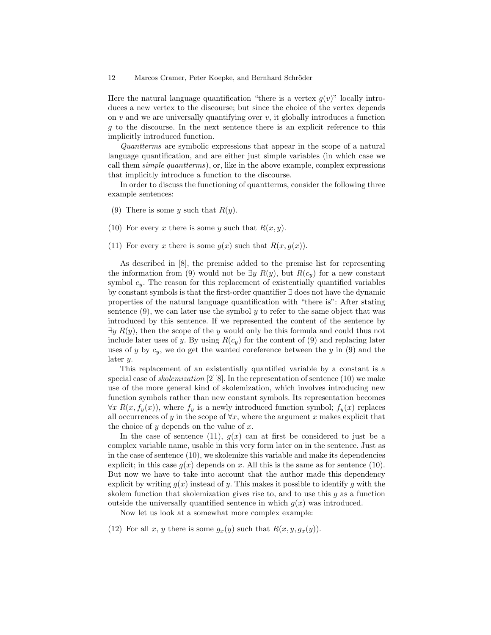Here the natural language quantification "there is a vertex  $g(v)$ " locally introduces a new vertex to the discourse; but since the choice of the vertex depends on  $v$  and we are universally quantifying over  $v$ , it globally introduces a function g to the discourse. In the next sentence there is an explicit reference to this implicitly introduced function.

Quantterms are symbolic expressions that appear in the scope of a natural language quantification, and are either just simple variables (in which case we call them simple quantterms), or, like in the above example, complex expressions that implicitly introduce a function to the discourse.

In order to discuss the functioning of quantterms, consider the following three example sentences:

- (9) There is some y such that  $R(y)$ .
- (10) For every x there is some y such that  $R(x, y)$ .
- (11) For every x there is some  $g(x)$  such that  $R(x, g(x))$ .

As described in [8], the premise added to the premise list for representing the information from (9) would not be  $\exists y R(y)$ , but  $R(c_y)$  for a new constant symbol  $c_y$ . The reason for this replacement of existentially quantified variables by constant symbols is that the first-order quantifier ∃ does not have the dynamic properties of the natural language quantification with "there is": After stating sentence  $(9)$ , we can later use the symbol y to refer to the same object that was introduced by this sentence. If we represented the content of the sentence by  $\exists y R(y)$ , then the scope of the y would only be this formula and could thus not include later uses of y. By using  $R(c_y)$  for the content of (9) and replacing later uses of y by  $c_y$ , we do get the wanted coreference between the y in (9) and the later y.

This replacement of an existentially quantified variable by a constant is a special case of *skolemization* [2][8]. In the representation of sentence (10) we make use of the more general kind of skolemization, which involves introducing new function symbols rather than new constant symbols. Its representation becomes  $\forall x R(x, f_y(x))$ , where  $f_y$  is a newly introduced function symbol;  $f_y(x)$  replaces all occurrences of y in the scope of  $\forall x$ , where the argument x makes explicit that the choice of  $y$  depends on the value of  $x$ .

In the case of sentence (11),  $g(x)$  can at first be considered to just be a complex variable name, usable in this very form later on in the sentence. Just as in the case of sentence (10), we skolemize this variable and make its dependencies explicit; in this case  $q(x)$  depends on x. All this is the same as for sentence (10). But now we have to take into account that the author made this dependency explicit by writing  $g(x)$  instead of y. This makes it possible to identify g with the skolem function that skolemization gives rise to, and to use this  $g$  as a function outside the universally quantified sentence in which  $g(x)$  was introduced.

Now let us look at a somewhat more complex example:

(12) For all x, y there is some  $g_x(y)$  such that  $R(x, y, g_x(y))$ .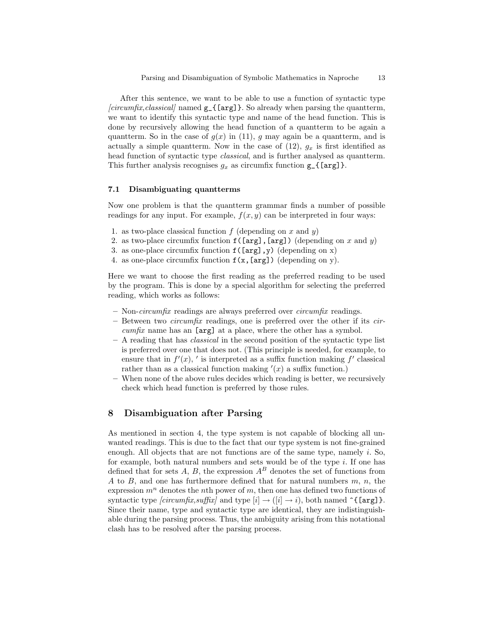After this sentence, we want to be able to use a function of syntactic type  $\langle circumfix,classical \rangle$  named  $g_{\text{-}}\$ [arg] }. So already when parsing the quantterm, we want to identify this syntactic type and name of the head function. This is done by recursively allowing the head function of a quantterm to be again a quantterm. So in the case of  $g(x)$  in (11), g may again be a quantterm, and is actually a simple quanterm. Now in the case of  $(12)$ ,  $q_x$  is first identified as head function of syntactic type classical, and is further analysed as quantterm. This further analysis recognises  $q_x$  as circumfix function  $g_{-}$  [[arg]}.

### 7.1 Disambiguating quantterms

Now one problem is that the quantterm grammar finds a number of possible readings for any input. For example,  $f(x, y)$  can be interpreted in four ways:

- 1. as two-place classical function  $f$  (depending on  $x$  and  $y$ )
- 2. as two-place circumfix function  $f(\text{[arg]},\text{[arg]})$  (depending on x and y)
- 3. as one-place circumfix function  $f(\text{[arg]},y)$  (depending on x)
- 4. as one-place circumfix function  $f(x, [arg])$  (depending on y).

Here we want to choose the first reading as the preferred reading to be used by the program. This is done by a special algorithm for selecting the preferred reading, which works as follows:

- Non-circumfix readings are always preferred over circumfix readings.
- Between two circumfix readings, one is preferred over the other if its circumfix name has an [arg] at a place, where the other has a symbol.
- A reading that has classical in the second position of the syntactic type list is preferred over one that does not. (This principle is needed, for example, to ensure that in  $f'(x)$ , ' is interpreted as a suffix function making  $f'$  classical rather than as a classical function making  $'(x)$  a suffix function.)
- When none of the above rules decides which reading is better, we recursively check which head function is preferred by those rules.

# 8 Disambiguation after Parsing

As mentioned in section 4, the type system is not capable of blocking all unwanted readings. This is due to the fact that our type system is not fine-grained enough. All objects that are not functions are of the same type, namely  $i$ . So, for example, both natural numbers and sets would be of the type  $i$ . If one has defined that for sets A, B, the expression  $A^B$  denotes the set of functions from A to B, and one has furthermore defined that for natural numbers  $m$ ,  $n$ , the expression  $m<sup>n</sup>$  denotes the *n*th power of m, then one has defined two functions of syntactic type  $\text{circumfix}, \text{suffix}$  and type  $[i] \rightarrow (i] \rightarrow i$ , both named  $\uparrow$  [[arg]}. Since their name, type and syntactic type are identical, they are indistinguishable during the parsing process. Thus, the ambiguity arising from this notational clash has to be resolved after the parsing process.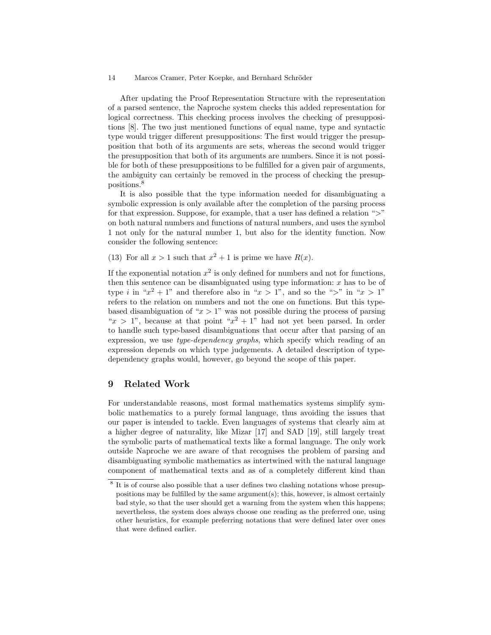After updating the Proof Representation Structure with the representation of a parsed sentence, the Naproche system checks this added representation for logical correctness. This checking process involves the checking of presuppositions [8]. The two just mentioned functions of equal name, type and syntactic type would trigger different presuppositions: The first would trigger the presupposition that both of its arguments are sets, whereas the second would trigger the presupposition that both of its arguments are numbers. Since it is not possible for both of these presuppositions to be fulfilled for a given pair of arguments, the ambiguity can certainly be removed in the process of checking the presuppositions.<sup>8</sup>

It is also possible that the type information needed for disambiguating a symbolic expression is only available after the completion of the parsing process for that expression. Suppose, for example, that a user has defined a relation ">" on both natural numbers and functions of natural numbers, and uses the symbol 1 not only for the natural number 1, but also for the identity function. Now consider the following sentence:

(13) For all  $x > 1$  such that  $x^2 + 1$  is prime we have  $R(x)$ .

If the exponential notation  $x^2$  is only defined for numbers and not for functions, then this sentence can be disambiguated using type information:  $x$  has to be of type *i* in " $x^2 + 1$ " and therefore also in " $x > 1$ ", and so the ">" in " $x > 1$ " refers to the relation on numbers and not the one on functions. But this typebased disambiguation of " $x > 1$ " was not possible during the process of parsing " $x > 1$ ", because at that point " $x^2 + 1$ " had not yet been parsed. In order to handle such type-based disambiguations that occur after that parsing of an expression, we use *type-dependency graphs*, which specify which reading of an expression depends on which type judgements. A detailed description of typedependency graphs would, however, go beyond the scope of this paper.

# 9 Related Work

For understandable reasons, most formal mathematics systems simplify symbolic mathematics to a purely formal language, thus avoiding the issues that our paper is intended to tackle. Even languages of systems that clearly aim at a higher degree of naturality, like Mizar [17] and SAD [19], still largely treat the symbolic parts of mathematical texts like a formal language. The only work outside Naproche we are aware of that recognises the problem of parsing and disambiguating symbolic mathematics as intertwined with the natural language component of mathematical texts and as of a completely different kind than

<sup>&</sup>lt;sup>8</sup> It is of course also possible that a user defines two clashing notations whose presuppositions may be fulfilled by the same argument(s); this, however, is almost certainly bad style, so that the user should get a warning from the system when this happens; nevertheless, the system does always choose one reading as the preferred one, using other heuristics, for example preferring notations that were defined later over ones that were defined earlier.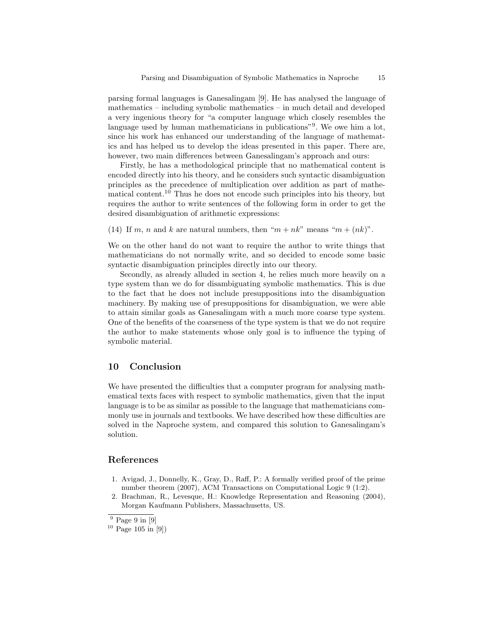parsing formal languages is Ganesalingam [9]. He has analysed the language of mathematics – including symbolic mathematics – in much detail and developed a very ingenious theory for "a computer language which closely resembles the language used by human mathematicians in publications<sup>"9</sup>. We owe him a lot, since his work has enhanced our understanding of the language of mathematics and has helped us to develop the ideas presented in this paper. There are, however, two main differences between Ganesalingam's approach and ours:

Firstly, he has a methodological principle that no mathematical content is encoded directly into his theory, and he considers such syntactic disambiguation principles as the precedence of multiplication over addition as part of mathematical content.<sup>10</sup> Thus he does not encode such principles into his theory, but requires the author to write sentences of the following form in order to get the desired disambiguation of arithmetic expressions:

(14) If m, n and k are natural numbers, then " $m + nk$ " means " $m + (nk)$ ".

We on the other hand do not want to require the author to write things that mathematicians do not normally write, and so decided to encode some basic syntactic disambiguation principles directly into our theory.

Secondly, as already alluded in section 4, he relies much more heavily on a type system than we do for disambiguating symbolic mathematics. This is due to the fact that he does not include presuppositions into the disambiguation machinery. By making use of presuppositions for disambiguation, we were able to attain similar goals as Ganesalingam with a much more coarse type system. One of the benefits of the coarseness of the type system is that we do not require the author to make statements whose only goal is to influence the typing of symbolic material.

## 10 Conclusion

We have presented the difficulties that a computer program for analysing mathematical texts faces with respect to symbolic mathematics, given that the input language is to be as similar as possible to the language that mathematicians commonly use in journals and textbooks. We have described how these difficulties are solved in the Naproche system, and compared this solution to Ganesalingam's solution.

## References

- 1. Avigad, J., Donnelly, K., Gray, D., Raff, P.: A formally verified proof of the prime number theorem (2007), ACM Transactions on Computational Logic 9 (1:2).
- 2. Brachman, R., Levesque, H.: Knowledge Representation and Reasoning (2004), Morgan Kaufmann Publishers, Massachusetts, US.

 $9$  Page 9 in [9]

 $10 \text{ Page } 105 \text{ in } [9]$